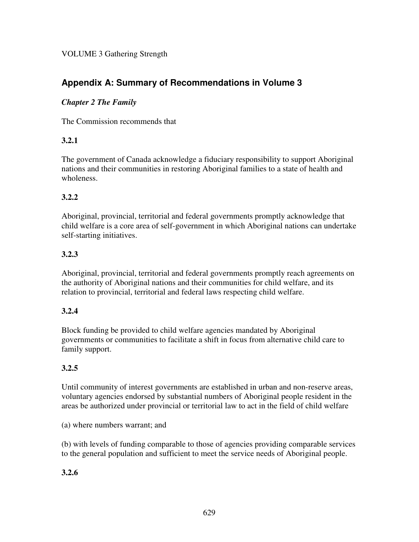# **Appendix A: Summary of Recommendations in Volume 3**

#### *Chapter 2 The Family*

The Commission recommends that

#### **3.2.1**

The government of Canada acknowledge a fiduciary responsibility to support Aboriginal nations and their communities in restoring Aboriginal families to a state of health and wholeness.

## **3.2.2**

Aboriginal, provincial, territorial and federal governments promptly acknowledge that child welfare is a core area of self-government in which Aboriginal nations can undertake self-starting initiatives.

## **3.2.3**

Aboriginal, provincial, territorial and federal governments promptly reach agreements on the authority of Aboriginal nations and their communities for child welfare, and its relation to provincial, territorial and federal laws respecting child welfare.

## **3.2.4**

Block funding be provided to child welfare agencies mandated by Aboriginal governments or communities to facilitate a shift in focus from alternative child care to family support.

## **3.2.5**

Until community of interest governments are established in urban and non-reserve areas, voluntary agencies endorsed by substantial numbers of Aboriginal people resident in the areas be authorized under provincial or territorial law to act in the field of child welfare

(a) where numbers warrant; and

(b) with levels of funding comparable to those of agencies providing comparable services to the general population and sufficient to meet the service needs of Aboriginal people.

## **3.2.6**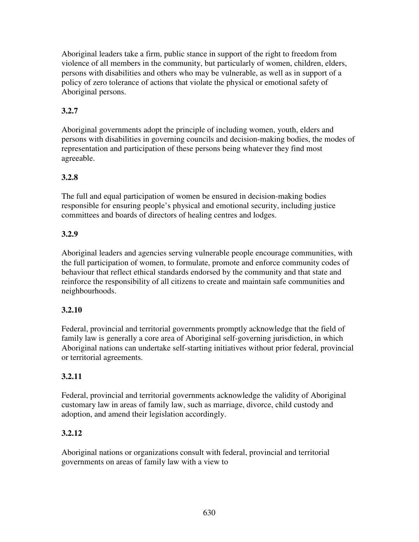Aboriginal leaders take a firm, public stance in support of the right to freedom from violence of all members in the community, but particularly of women, children, elders, persons with disabilities and others who may be vulnerable, as well as in support of a policy of zero tolerance of actions that violate the physical or emotional safety of Aboriginal persons.

# **3.2.7**

Aboriginal governments adopt the principle of including women, youth, elders and persons with disabilities in governing councils and decision-making bodies, the modes of representation and participation of these persons being whatever they find most agreeable.

## **3.2.8**

The full and equal participation of women be ensured in decision-making bodies responsible for ensuring people's physical and emotional security, including justice committees and boards of directors of healing centres and lodges.

## **3.2.9**

Aboriginal leaders and agencies serving vulnerable people encourage communities, with the full participation of women, to formulate, promote and enforce community codes of behaviour that reflect ethical standards endorsed by the community and that state and reinforce the responsibility of all citizens to create and maintain safe communities and neighbourhoods.

## **3.2.10**

Federal, provincial and territorial governments promptly acknowledge that the field of family law is generally a core area of Aboriginal self-governing jurisdiction, in which Aboriginal nations can undertake self-starting initiatives without prior federal, provincial or territorial agreements.

## **3.2.11**

Federal, provincial and territorial governments acknowledge the validity of Aboriginal customary law in areas of family law, such as marriage, divorce, child custody and adoption, and amend their legislation accordingly.

## **3.2.12**

Aboriginal nations or organizations consult with federal, provincial and territorial governments on areas of family law with a view to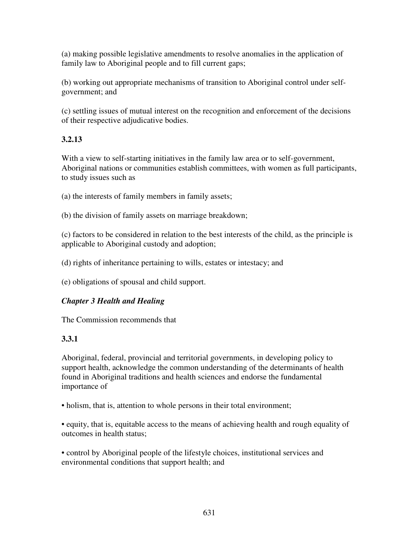(a) making possible legislative amendments to resolve anomalies in the application of family law to Aboriginal people and to fill current gaps;

(b) working out appropriate mechanisms of transition to Aboriginal control under selfgovernment; and

(c) settling issues of mutual interest on the recognition and enforcement of the decisions of their respective adjudicative bodies.

# **3.2.13**

With a view to self-starting initiatives in the family law area or to self-government, Aboriginal nations or communities establish committees, with women as full participants, to study issues such as

(a) the interests of family members in family assets;

(b) the division of family assets on marriage breakdown;

(c) factors to be considered in relation to the best interests of the child, as the principle is applicable to Aboriginal custody and adoption;

(d) rights of inheritance pertaining to wills, estates or intestacy; and

(e) obligations of spousal and child support.

## *Chapter 3 Health and Healing*

The Commission recommends that

## **3.3.1**

Aboriginal, federal, provincial and territorial governments, in developing policy to support health, acknowledge the common understanding of the determinants of health found in Aboriginal traditions and health sciences and endorse the fundamental importance of

• holism, that is, attention to whole persons in their total environment;

• equity, that is, equitable access to the means of achieving health and rough equality of outcomes in health status;

• control by Aboriginal people of the lifestyle choices, institutional services and environmental conditions that support health; and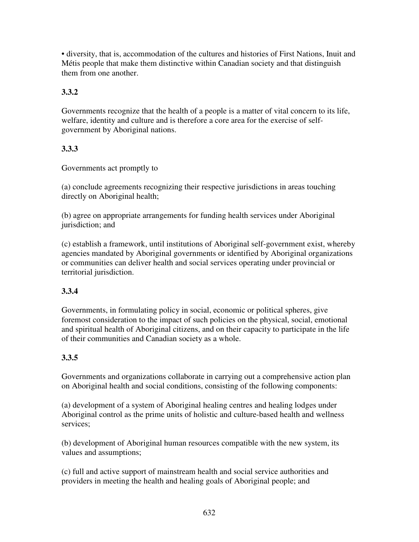• diversity, that is, accommodation of the cultures and histories of First Nations, Inuit and Métis people that make them distinctive within Canadian society and that distinguish them from one another.

# **3.3.2**

Governments recognize that the health of a people is a matter of vital concern to its life, welfare, identity and culture and is therefore a core area for the exercise of selfgovernment by Aboriginal nations.

## **3.3.3**

Governments act promptly to

(a) conclude agreements recognizing their respective jurisdictions in areas touching directly on Aboriginal health;

(b) agree on appropriate arrangements for funding health services under Aboriginal jurisdiction; and

(c) establish a framework, until institutions of Aboriginal self-government exist, whereby agencies mandated by Aboriginal governments or identified by Aboriginal organizations or communities can deliver health and social services operating under provincial or territorial jurisdiction.

## **3.3.4**

Governments, in formulating policy in social, economic or political spheres, give foremost consideration to the impact of such policies on the physical, social, emotional and spiritual health of Aboriginal citizens, and on their capacity to participate in the life of their communities and Canadian society as a whole.

## **3.3.5**

Governments and organizations collaborate in carrying out a comprehensive action plan on Aboriginal health and social conditions, consisting of the following components:

(a) development of a system of Aboriginal healing centres and healing lodges under Aboriginal control as the prime units of holistic and culture-based health and wellness services;

(b) development of Aboriginal human resources compatible with the new system, its values and assumptions;

(c) full and active support of mainstream health and social service authorities and providers in meeting the health and healing goals of Aboriginal people; and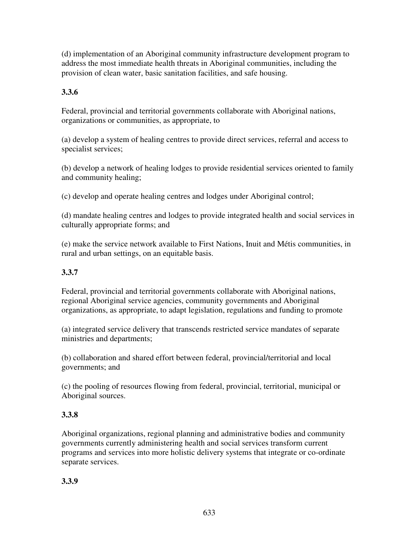(d) implementation of an Aboriginal community infrastructure development program to address the most immediate health threats in Aboriginal communities, including the provision of clean water, basic sanitation facilities, and safe housing.

# **3.3.6**

Federal, provincial and territorial governments collaborate with Aboriginal nations, organizations or communities, as appropriate, to

(a) develop a system of healing centres to provide direct services, referral and access to specialist services;

(b) develop a network of healing lodges to provide residential services oriented to family and community healing;

(c) develop and operate healing centres and lodges under Aboriginal control;

(d) mandate healing centres and lodges to provide integrated health and social services in culturally appropriate forms; and

(e) make the service network available to First Nations, Inuit and Métis communities, in rural and urban settings, on an equitable basis.

# **3.3.7**

Federal, provincial and territorial governments collaborate with Aboriginal nations, regional Aboriginal service agencies, community governments and Aboriginal organizations, as appropriate, to adapt legislation, regulations and funding to promote

(a) integrated service delivery that transcends restricted service mandates of separate ministries and departments;

(b) collaboration and shared effort between federal, provincial/territorial and local governments; and

(c) the pooling of resources flowing from federal, provincial, territorial, municipal or Aboriginal sources.

# **3.3.8**

Aboriginal organizations, regional planning and administrative bodies and community governments currently administering health and social services transform current programs and services into more holistic delivery systems that integrate or co-ordinate separate services.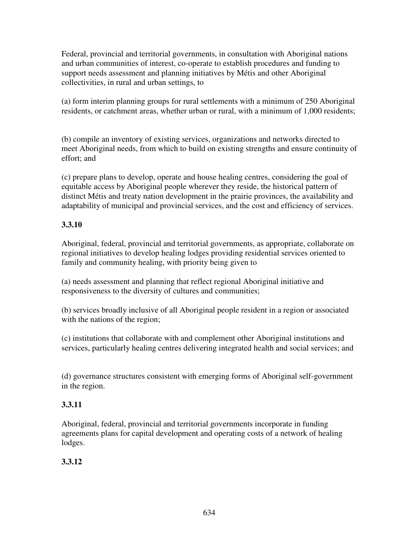Federal, provincial and territorial governments, in consultation with Aboriginal nations and urban communities of interest, co-operate to establish procedures and funding to support needs assessment and planning initiatives by Métis and other Aboriginal collectivities, in rural and urban settings, to

(a) form interim planning groups for rural settlements with a minimum of 250 Aboriginal residents, or catchment areas, whether urban or rural, with a minimum of 1,000 residents;

(b) compile an inventory of existing services, organizations and networks directed to meet Aboriginal needs, from which to build on existing strengths and ensure continuity of effort; and

(c) prepare plans to develop, operate and house healing centres, considering the goal of equitable access by Aboriginal people wherever they reside, the historical pattern of distinct Métis and treaty nation development in the prairie provinces, the availability and adaptability of municipal and provincial services, and the cost and efficiency of services.

## **3.3.10**

Aboriginal, federal, provincial and territorial governments, as appropriate, collaborate on regional initiatives to develop healing lodges providing residential services oriented to family and community healing, with priority being given to

(a) needs assessment and planning that reflect regional Aboriginal initiative and responsiveness to the diversity of cultures and communities;

(b) services broadly inclusive of all Aboriginal people resident in a region or associated with the nations of the region;

(c) institutions that collaborate with and complement other Aboriginal institutions and services, particularly healing centres delivering integrated health and social services; and

(d) governance structures consistent with emerging forms of Aboriginal self-government in the region.

# **3.3.11**

Aboriginal, federal, provincial and territorial governments incorporate in funding agreements plans for capital development and operating costs of a network of healing lodges.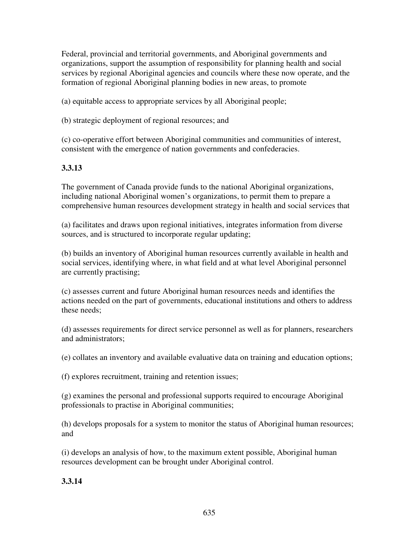Federal, provincial and territorial governments, and Aboriginal governments and organizations, support the assumption of responsibility for planning health and social services by regional Aboriginal agencies and councils where these now operate, and the formation of regional Aboriginal planning bodies in new areas, to promote

(a) equitable access to appropriate services by all Aboriginal people;

(b) strategic deployment of regional resources; and

(c) co-operative effort between Aboriginal communities and communities of interest, consistent with the emergence of nation governments and confederacies.

## **3.3.13**

The government of Canada provide funds to the national Aboriginal organizations, including national Aboriginal women's organizations, to permit them to prepare a comprehensive human resources development strategy in health and social services that

(a) facilitates and draws upon regional initiatives, integrates information from diverse sources, and is structured to incorporate regular updating;

(b) builds an inventory of Aboriginal human resources currently available in health and social services, identifying where, in what field and at what level Aboriginal personnel are currently practising;

(c) assesses current and future Aboriginal human resources needs and identifies the actions needed on the part of governments, educational institutions and others to address these needs;

(d) assesses requirements for direct service personnel as well as for planners, researchers and administrators;

(e) collates an inventory and available evaluative data on training and education options;

(f) explores recruitment, training and retention issues;

(g) examines the personal and professional supports required to encourage Aboriginal professionals to practise in Aboriginal communities;

(h) develops proposals for a system to monitor the status of Aboriginal human resources; and

(i) develops an analysis of how, to the maximum extent possible, Aboriginal human resources development can be brought under Aboriginal control.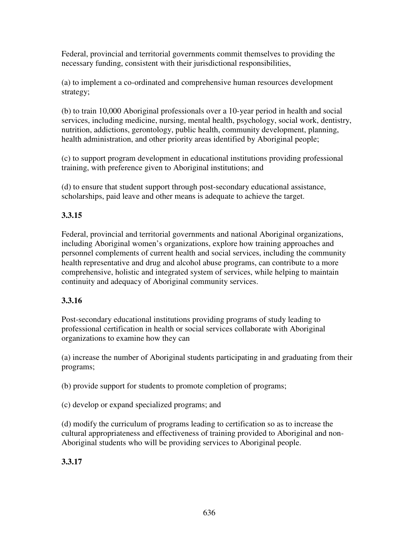Federal, provincial and territorial governments commit themselves to providing the necessary funding, consistent with their jurisdictional responsibilities,

(a) to implement a co-ordinated and comprehensive human resources development strategy;

(b) to train 10,000 Aboriginal professionals over a 10-year period in health and social services, including medicine, nursing, mental health, psychology, social work, dentistry, nutrition, addictions, gerontology, public health, community development, planning, health administration, and other priority areas identified by Aboriginal people;

(c) to support program development in educational institutions providing professional training, with preference given to Aboriginal institutions; and

(d) to ensure that student support through post-secondary educational assistance, scholarships, paid leave and other means is adequate to achieve the target.

# **3.3.15**

Federal, provincial and territorial governments and national Aboriginal organizations, including Aboriginal women's organizations, explore how training approaches and personnel complements of current health and social services, including the community health representative and drug and alcohol abuse programs, can contribute to a more comprehensive, holistic and integrated system of services, while helping to maintain continuity and adequacy of Aboriginal community services.

# **3.3.16**

Post-secondary educational institutions providing programs of study leading to professional certification in health or social services collaborate with Aboriginal organizations to examine how they can

(a) increase the number of Aboriginal students participating in and graduating from their programs;

(b) provide support for students to promote completion of programs;

(c) develop or expand specialized programs; and

(d) modify the curriculum of programs leading to certification so as to increase the cultural appropriateness and effectiveness of training provided to Aboriginal and non-Aboriginal students who will be providing services to Aboriginal people.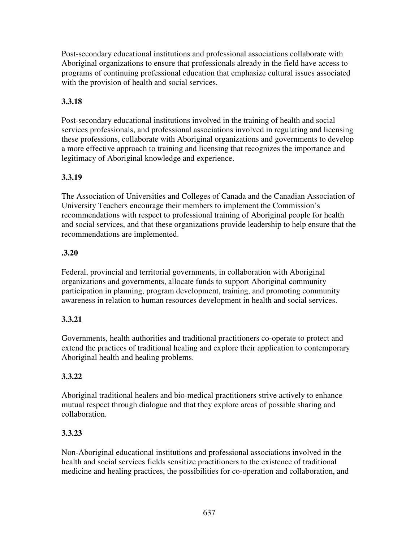Post-secondary educational institutions and professional associations collaborate with Aboriginal organizations to ensure that professionals already in the field have access to programs of continuing professional education that emphasize cultural issues associated with the provision of health and social services.

## **3.3.18**

Post-secondary educational institutions involved in the training of health and social services professionals, and professional associations involved in regulating and licensing these professions, collaborate with Aboriginal organizations and governments to develop a more effective approach to training and licensing that recognizes the importance and legitimacy of Aboriginal knowledge and experience.

## **3.3.19**

The Association of Universities and Colleges of Canada and the Canadian Association of University Teachers encourage their members to implement the Commission's recommendations with respect to professional training of Aboriginal people for health and social services, and that these organizations provide leadership to help ensure that the recommendations are implemented.

#### **.3.20**

Federal, provincial and territorial governments, in collaboration with Aboriginal organizations and governments, allocate funds to support Aboriginal community participation in planning, program development, training, and promoting community awareness in relation to human resources development in health and social services.

## **3.3.21**

Governments, health authorities and traditional practitioners co-operate to protect and extend the practices of traditional healing and explore their application to contemporary Aboriginal health and healing problems.

## **3.3.22**

Aboriginal traditional healers and bio-medical practitioners strive actively to enhance mutual respect through dialogue and that they explore areas of possible sharing and collaboration.

## **3.3.23**

Non-Aboriginal educational institutions and professional associations involved in the health and social services fields sensitize practitioners to the existence of traditional medicine and healing practices, the possibilities for co-operation and collaboration, and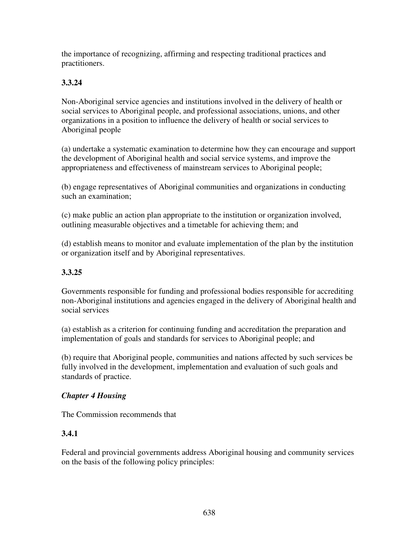the importance of recognizing, affirming and respecting traditional practices and practitioners.

# **3.3.24**

Non-Aboriginal service agencies and institutions involved in the delivery of health or social services to Aboriginal people, and professional associations, unions, and other organizations in a position to influence the delivery of health or social services to Aboriginal people

(a) undertake a systematic examination to determine how they can encourage and support the development of Aboriginal health and social service systems, and improve the appropriateness and effectiveness of mainstream services to Aboriginal people;

(b) engage representatives of Aboriginal communities and organizations in conducting such an examination;

(c) make public an action plan appropriate to the institution or organization involved, outlining measurable objectives and a timetable for achieving them; and

(d) establish means to monitor and evaluate implementation of the plan by the institution or organization itself and by Aboriginal representatives.

## **3.3.25**

Governments responsible for funding and professional bodies responsible for accrediting non-Aboriginal institutions and agencies engaged in the delivery of Aboriginal health and social services

(a) establish as a criterion for continuing funding and accreditation the preparation and implementation of goals and standards for services to Aboriginal people; and

(b) require that Aboriginal people, communities and nations affected by such services be fully involved in the development, implementation and evaluation of such goals and standards of practice.

## *Chapter 4 Housing*

The Commission recommends that

## **3.4.1**

Federal and provincial governments address Aboriginal housing and community services on the basis of the following policy principles: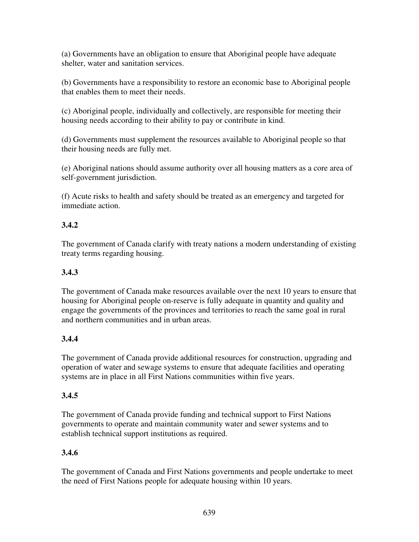(a) Governments have an obligation to ensure that Aboriginal people have adequate shelter, water and sanitation services.

(b) Governments have a responsibility to restore an economic base to Aboriginal people that enables them to meet their needs.

(c) Aboriginal people, individually and collectively, are responsible for meeting their housing needs according to their ability to pay or contribute in kind.

(d) Governments must supplement the resources available to Aboriginal people so that their housing needs are fully met.

(e) Aboriginal nations should assume authority over all housing matters as a core area of self-government jurisdiction.

(f) Acute risks to health and safety should be treated as an emergency and targeted for immediate action.

# **3.4.2**

The government of Canada clarify with treaty nations a modern understanding of existing treaty terms regarding housing.

# **3.4.3**

The government of Canada make resources available over the next 10 years to ensure that housing for Aboriginal people on-reserve is fully adequate in quantity and quality and engage the governments of the provinces and territories to reach the same goal in rural and northern communities and in urban areas.

# **3.4.4**

The government of Canada provide additional resources for construction, upgrading and operation of water and sewage systems to ensure that adequate facilities and operating systems are in place in all First Nations communities within five years.

# **3.4.5**

The government of Canada provide funding and technical support to First Nations governments to operate and maintain community water and sewer systems and to establish technical support institutions as required.

# **3.4.6**

The government of Canada and First Nations governments and people undertake to meet the need of First Nations people for adequate housing within 10 years.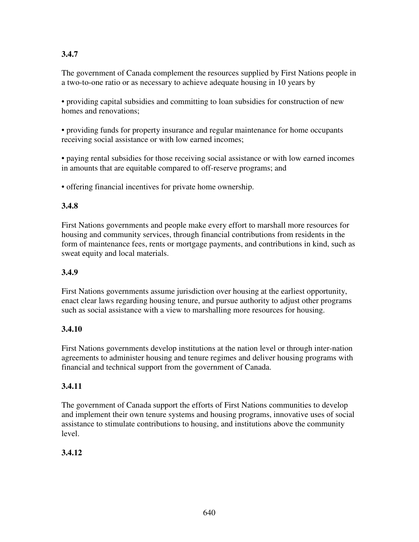# **3.4.7**

The government of Canada complement the resources supplied by First Nations people in a two-to-one ratio or as necessary to achieve adequate housing in 10 years by

• providing capital subsidies and committing to loan subsidies for construction of new homes and renovations;

• providing funds for property insurance and regular maintenance for home occupants receiving social assistance or with low earned incomes;

• paying rental subsidies for those receiving social assistance or with low earned incomes in amounts that are equitable compared to off-reserve programs; and

• offering financial incentives for private home ownership.

## **3.4.8**

First Nations governments and people make every effort to marshall more resources for housing and community services, through financial contributions from residents in the form of maintenance fees, rents or mortgage payments, and contributions in kind, such as sweat equity and local materials.

# **3.4.9**

First Nations governments assume jurisdiction over housing at the earliest opportunity, enact clear laws regarding housing tenure, and pursue authority to adjust other programs such as social assistance with a view to marshalling more resources for housing.

## **3.4.10**

First Nations governments develop institutions at the nation level or through inter-nation agreements to administer housing and tenure regimes and deliver housing programs with financial and technical support from the government of Canada.

## **3.4.11**

The government of Canada support the efforts of First Nations communities to develop and implement their own tenure systems and housing programs, innovative uses of social assistance to stimulate contributions to housing, and institutions above the community level.

# **3.4.12**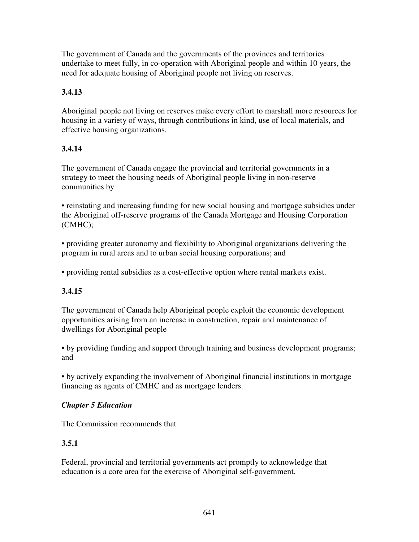The government of Canada and the governments of the provinces and territories undertake to meet fully, in co-operation with Aboriginal people and within 10 years, the need for adequate housing of Aboriginal people not living on reserves.

# **3.4.13**

Aboriginal people not living on reserves make every effort to marshall more resources for housing in a variety of ways, through contributions in kind, use of local materials, and effective housing organizations.

# **3.4.14**

The government of Canada engage the provincial and territorial governments in a strategy to meet the housing needs of Aboriginal people living in non-reserve communities by

• reinstating and increasing funding for new social housing and mortgage subsidies under the Aboriginal off-reserve programs of the Canada Mortgage and Housing Corporation (CMHC);

• providing greater autonomy and flexibility to Aboriginal organizations delivering the program in rural areas and to urban social housing corporations; and

• providing rental subsidies as a cost-effective option where rental markets exist.

# **3.4.15**

The government of Canada help Aboriginal people exploit the economic development opportunities arising from an increase in construction, repair and maintenance of dwellings for Aboriginal people

• by providing funding and support through training and business development programs; and

• by actively expanding the involvement of Aboriginal financial institutions in mortgage financing as agents of CMHC and as mortgage lenders.

## *Chapter 5 Education*

The Commission recommends that

# **3.5.1**

Federal, provincial and territorial governments act promptly to acknowledge that education is a core area for the exercise of Aboriginal self-government.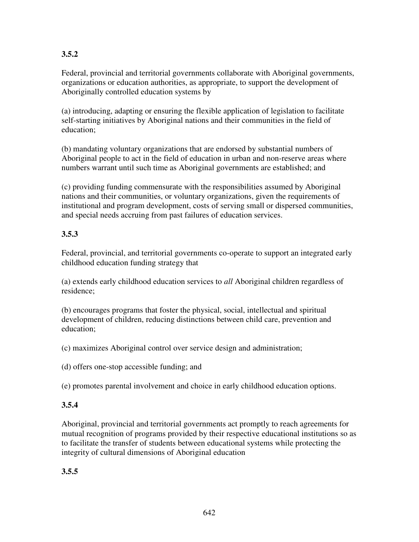# **3.5.2**

Federal, provincial and territorial governments collaborate with Aboriginal governments, organizations or education authorities, as appropriate, to support the development of Aboriginally controlled education systems by

(a) introducing, adapting or ensuring the flexible application of legislation to facilitate self-starting initiatives by Aboriginal nations and their communities in the field of education;

(b) mandating voluntary organizations that are endorsed by substantial numbers of Aboriginal people to act in the field of education in urban and non-reserve areas where numbers warrant until such time as Aboriginal governments are established; and

(c) providing funding commensurate with the responsibilities assumed by Aboriginal nations and their communities, or voluntary organizations, given the requirements of institutional and program development, costs of serving small or dispersed communities, and special needs accruing from past failures of education services.

## **3.5.3**

Federal, provincial, and territorial governments co-operate to support an integrated early childhood education funding strategy that

(a) extends early childhood education services to *all* Aboriginal children regardless of residence;

(b) encourages programs that foster the physical, social, intellectual and spiritual development of children, reducing distinctions between child care, prevention and education;

(c) maximizes Aboriginal control over service design and administration;

(d) offers one-stop accessible funding; and

(e) promotes parental involvement and choice in early childhood education options.

## **3.5.4**

Aboriginal, provincial and territorial governments act promptly to reach agreements for mutual recognition of programs provided by their respective educational institutions so as to facilitate the transfer of students between educational systems while protecting the integrity of cultural dimensions of Aboriginal education

## **3.5.5**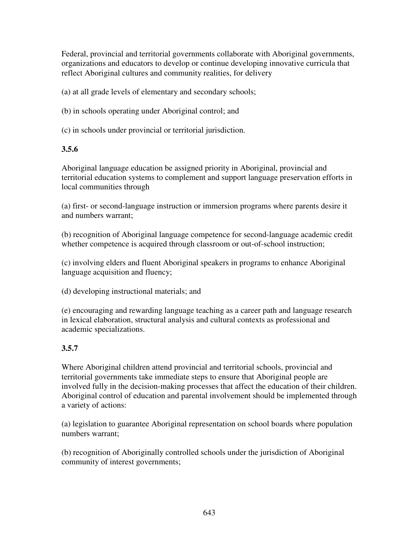Federal, provincial and territorial governments collaborate with Aboriginal governments, organizations and educators to develop or continue developing innovative curricula that reflect Aboriginal cultures and community realities, for delivery

(a) at all grade levels of elementary and secondary schools;

(b) in schools operating under Aboriginal control; and

(c) in schools under provincial or territorial jurisdiction.

#### **3.5.6**

Aboriginal language education be assigned priority in Aboriginal, provincial and territorial education systems to complement and support language preservation efforts in local communities through

(a) first- or second-language instruction or immersion programs where parents desire it and numbers warrant;

(b) recognition of Aboriginal language competence for second-language academic credit whether competence is acquired through classroom or out-of-school instruction;

(c) involving elders and fluent Aboriginal speakers in programs to enhance Aboriginal language acquisition and fluency;

(d) developing instructional materials; and

(e) encouraging and rewarding language teaching as a career path and language research in lexical elaboration, structural analysis and cultural contexts as professional and academic specializations.

## **3.5.7**

Where Aboriginal children attend provincial and territorial schools, provincial and territorial governments take immediate steps to ensure that Aboriginal people are involved fully in the decision-making processes that affect the education of their children. Aboriginal control of education and parental involvement should be implemented through a variety of actions:

(a) legislation to guarantee Aboriginal representation on school boards where population numbers warrant;

(b) recognition of Aboriginally controlled schools under the jurisdiction of Aboriginal community of interest governments;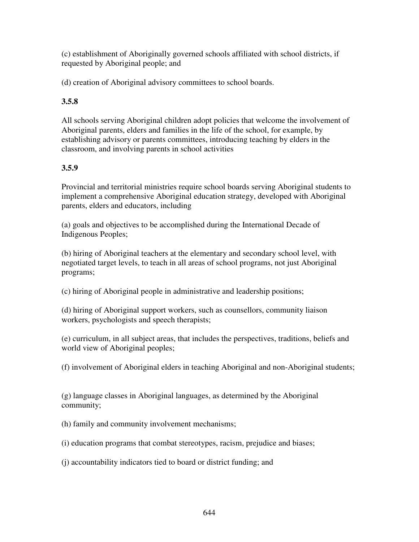(c) establishment of Aboriginally governed schools affiliated with school districts, if requested by Aboriginal people; and

(d) creation of Aboriginal advisory committees to school boards.

# **3.5.8**

All schools serving Aboriginal children adopt policies that welcome the involvement of Aboriginal parents, elders and families in the life of the school, for example, by establishing advisory or parents committees, introducing teaching by elders in the classroom, and involving parents in school activities

## **3.5.9**

Provincial and territorial ministries require school boards serving Aboriginal students to implement a comprehensive Aboriginal education strategy, developed with Aboriginal parents, elders and educators, including

(a) goals and objectives to be accomplished during the International Decade of Indigenous Peoples;

(b) hiring of Aboriginal teachers at the elementary and secondary school level, with negotiated target levels, to teach in all areas of school programs, not just Aboriginal programs;

(c) hiring of Aboriginal people in administrative and leadership positions;

(d) hiring of Aboriginal support workers, such as counsellors, community liaison workers, psychologists and speech therapists;

(e) curriculum, in all subject areas, that includes the perspectives, traditions, beliefs and world view of Aboriginal peoples;

(f) involvement of Aboriginal elders in teaching Aboriginal and non-Aboriginal students;

(g) language classes in Aboriginal languages, as determined by the Aboriginal community;

(h) family and community involvement mechanisms;

(i) education programs that combat stereotypes, racism, prejudice and biases;

(j) accountability indicators tied to board or district funding; and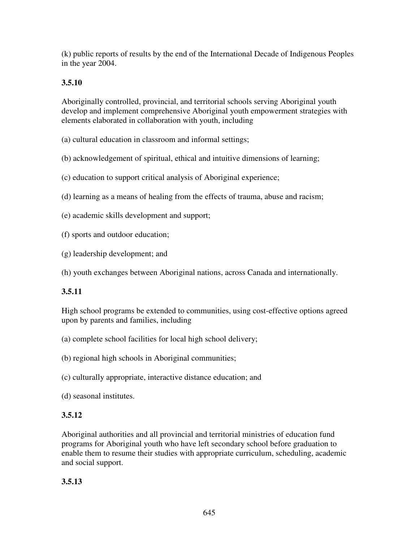(k) public reports of results by the end of the International Decade of Indigenous Peoples in the year 2004.

# **3.5.10**

Aboriginally controlled, provincial, and territorial schools serving Aboriginal youth develop and implement comprehensive Aboriginal youth empowerment strategies with elements elaborated in collaboration with youth, including

(a) cultural education in classroom and informal settings;

- (b) acknowledgement of spiritual, ethical and intuitive dimensions of learning;
- (c) education to support critical analysis of Aboriginal experience;
- (d) learning as a means of healing from the effects of trauma, abuse and racism;
- (e) academic skills development and support;
- (f) sports and outdoor education;
- (g) leadership development; and
- (h) youth exchanges between Aboriginal nations, across Canada and internationally.

# **3.5.11**

High school programs be extended to communities, using cost-effective options agreed upon by parents and families, including

- (a) complete school facilities for local high school delivery;
- (b) regional high schools in Aboriginal communities;
- (c) culturally appropriate, interactive distance education; and
- (d) seasonal institutes.

# **3.5.12**

Aboriginal authorities and all provincial and territorial ministries of education fund programs for Aboriginal youth who have left secondary school before graduation to enable them to resume their studies with appropriate curriculum, scheduling, academic and social support.

**3.5.13**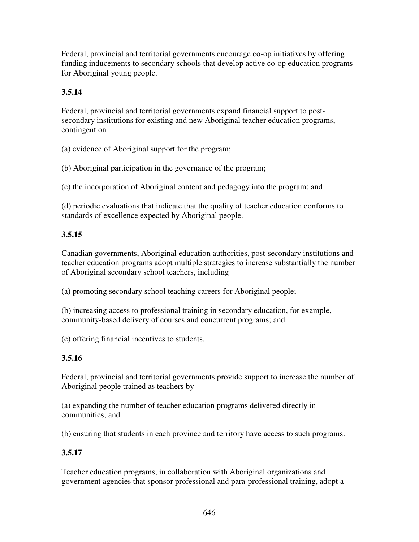Federal, provincial and territorial governments encourage co-op initiatives by offering funding inducements to secondary schools that develop active co-op education programs for Aboriginal young people.

# **3.5.14**

Federal, provincial and territorial governments expand financial support to postsecondary institutions for existing and new Aboriginal teacher education programs, contingent on

(a) evidence of Aboriginal support for the program;

(b) Aboriginal participation in the governance of the program;

(c) the incorporation of Aboriginal content and pedagogy into the program; and

(d) periodic evaluations that indicate that the quality of teacher education conforms to standards of excellence expected by Aboriginal people.

## **3.5.15**

Canadian governments, Aboriginal education authorities, post-secondary institutions and teacher education programs adopt multiple strategies to increase substantially the number of Aboriginal secondary school teachers, including

(a) promoting secondary school teaching careers for Aboriginal people;

(b) increasing access to professional training in secondary education, for example, community-based delivery of courses and concurrent programs; and

(c) offering financial incentives to students.

## **3.5.16**

Federal, provincial and territorial governments provide support to increase the number of Aboriginal people trained as teachers by

(a) expanding the number of teacher education programs delivered directly in communities; and

(b) ensuring that students in each province and territory have access to such programs.

## **3.5.17**

Teacher education programs, in collaboration with Aboriginal organizations and government agencies that sponsor professional and para-professional training, adopt a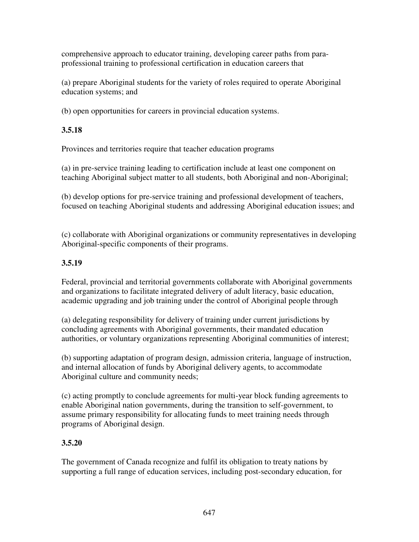comprehensive approach to educator training, developing career paths from paraprofessional training to professional certification in education careers that

(a) prepare Aboriginal students for the variety of roles required to operate Aboriginal education systems; and

(b) open opportunities for careers in provincial education systems.

# **3.5.18**

Provinces and territories require that teacher education programs

(a) in pre-service training leading to certification include at least one component on teaching Aboriginal subject matter to all students, both Aboriginal and non-Aboriginal;

(b) develop options for pre-service training and professional development of teachers, focused on teaching Aboriginal students and addressing Aboriginal education issues; and

(c) collaborate with Aboriginal organizations or community representatives in developing Aboriginal-specific components of their programs.

# **3.5.19**

Federal, provincial and territorial governments collaborate with Aboriginal governments and organizations to facilitate integrated delivery of adult literacy, basic education, academic upgrading and job training under the control of Aboriginal people through

(a) delegating responsibility for delivery of training under current jurisdictions by concluding agreements with Aboriginal governments, their mandated education authorities, or voluntary organizations representing Aboriginal communities of interest;

(b) supporting adaptation of program design, admission criteria, language of instruction, and internal allocation of funds by Aboriginal delivery agents, to accommodate Aboriginal culture and community needs;

(c) acting promptly to conclude agreements for multi-year block funding agreements to enable Aboriginal nation governments, during the transition to self-government, to assume primary responsibility for allocating funds to meet training needs through programs of Aboriginal design.

# **3.5.20**

The government of Canada recognize and fulfil its obligation to treaty nations by supporting a full range of education services, including post-secondary education, for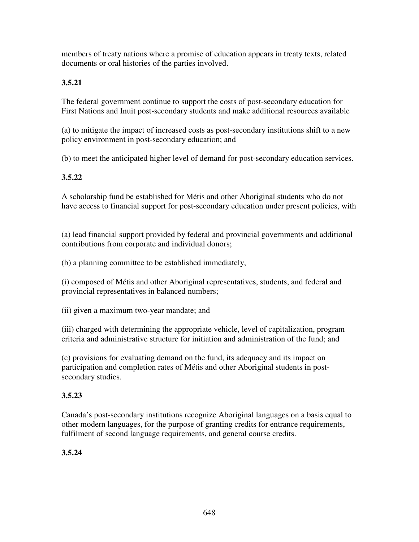members of treaty nations where a promise of education appears in treaty texts, related documents or oral histories of the parties involved.

# **3.5.21**

The federal government continue to support the costs of post-secondary education for First Nations and Inuit post-secondary students and make additional resources available

(a) to mitigate the impact of increased costs as post-secondary institutions shift to a new policy environment in post-secondary education; and

(b) to meet the anticipated higher level of demand for post-secondary education services.

# **3.5.22**

A scholarship fund be established for Métis and other Aboriginal students who do not have access to financial support for post-secondary education under present policies, with

(a) lead financial support provided by federal and provincial governments and additional contributions from corporate and individual donors;

(b) a planning committee to be established immediately,

(i) composed of Métis and other Aboriginal representatives, students, and federal and provincial representatives in balanced numbers;

(ii) given a maximum two-year mandate; and

(iii) charged with determining the appropriate vehicle, level of capitalization, program criteria and administrative structure for initiation and administration of the fund; and

(c) provisions for evaluating demand on the fund, its adequacy and its impact on participation and completion rates of Métis and other Aboriginal students in postsecondary studies.

# **3.5.23**

Canada's post-secondary institutions recognize Aboriginal languages on a basis equal to other modern languages, for the purpose of granting credits for entrance requirements, fulfilment of second language requirements, and general course credits.

# **3.5.24**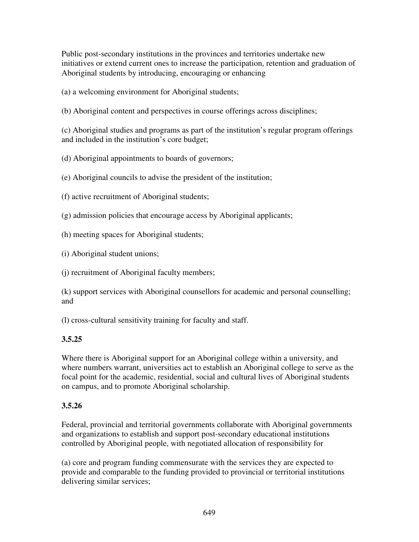Public post-secondary institutions in the provinces and territories undertake new initiatives or extend current ones to increase the participation, retention and graduation of Aboriginal students by introducing, encouraging or enhancing

(a) a welcoming environment for Aboriginal students;

(b) Aboriginal content and perspectives in course offerings across disciplines;

(c) Aboriginal studies and programs as part of the institution's regular program offerings and included in the institution's core budget;

(d) Aboriginal appointments to boards of governors;

(e) Aboriginal councils to advise the president of the institution;

(f) active recruitment of Aboriginal students;

(g) admission policies that encourage access by Aboriginal applicants;

(h) meeting spaces for Aboriginal students;

(i) Aboriginal student unions;

(j) recruitment of Aboriginal faculty members;

(k) support services with Aboriginal counsellors for academic and personal counselling; and

(l) cross-cultural sensitivity training for faculty and staff.

## **3.5.25**

Where there is Aboriginal support for an Aboriginal college within a university, and where numbers warrant, universities act to establish an Aboriginal college to serve as the focal point for the academic, residential, social and cultural lives of Aboriginal students on campus, and to promote Aboriginal scholarship.

#### **3.5.26**

Federal, provincial and territorial governments collaborate with Aboriginal governments and organizations to establish and support post-secondary educational institutions controlled by Aboriginal people, with negotiated allocation of responsibility for

(a) core and program funding commensurate with the services they are expected to provide and comparable to the funding provided to provincial or territorial institutions delivering similar services;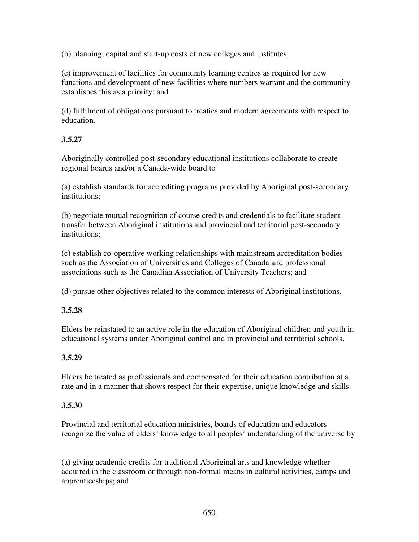(b) planning, capital and start-up costs of new colleges and institutes;

(c) improvement of facilities for community learning centres as required for new functions and development of new facilities where numbers warrant and the community establishes this as a priority; and

(d) fulfilment of obligations pursuant to treaties and modern agreements with respect to education.

#### **3.5.27**

Aboriginally controlled post-secondary educational institutions collaborate to create regional boards and/or a Canada-wide board to

(a) establish standards for accrediting programs provided by Aboriginal post-secondary institutions;

(b) negotiate mutual recognition of course credits and credentials to facilitate student transfer between Aboriginal institutions and provincial and territorial post-secondary institutions;

(c) establish co-operative working relationships with mainstream accreditation bodies such as the Association of Universities and Colleges of Canada and professional associations such as the Canadian Association of University Teachers; and

(d) pursue other objectives related to the common interests of Aboriginal institutions.

#### **3.5.28**

Elders be reinstated to an active role in the education of Aboriginal children and youth in educational systems under Aboriginal control and in provincial and territorial schools.

#### **3.5.29**

Elders be treated as professionals and compensated for their education contribution at a rate and in a manner that shows respect for their expertise, unique knowledge and skills.

#### **3.5.30**

Provincial and territorial education ministries, boards of education and educators recognize the value of elders' knowledge to all peoples' understanding of the universe by

(a) giving academic credits for traditional Aboriginal arts and knowledge whether acquired in the classroom or through non-formal means in cultural activities, camps and apprenticeships; and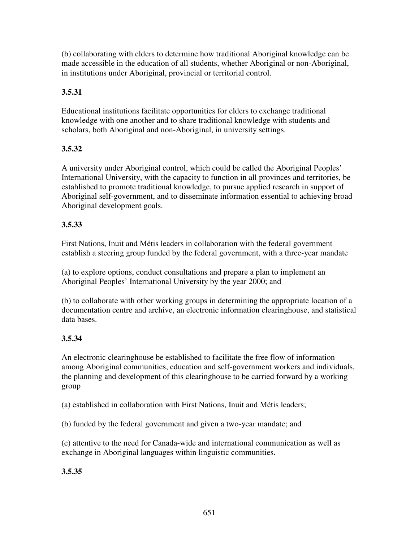(b) collaborating with elders to determine how traditional Aboriginal knowledge can be made accessible in the education of all students, whether Aboriginal or non-Aboriginal, in institutions under Aboriginal, provincial or territorial control.

# **3.5.31**

Educational institutions facilitate opportunities for elders to exchange traditional knowledge with one another and to share traditional knowledge with students and scholars, both Aboriginal and non-Aboriginal, in university settings.

## **3.5.32**

A university under Aboriginal control, which could be called the Aboriginal Peoples' International University, with the capacity to function in all provinces and territories, be established to promote traditional knowledge, to pursue applied research in support of Aboriginal self-government, and to disseminate information essential to achieving broad Aboriginal development goals.

## **3.5.33**

First Nations, Inuit and Métis leaders in collaboration with the federal government establish a steering group funded by the federal government, with a three-year mandate

(a) to explore options, conduct consultations and prepare a plan to implement an Aboriginal Peoples' International University by the year 2000; and

(b) to collaborate with other working groups in determining the appropriate location of a documentation centre and archive, an electronic information clearinghouse, and statistical data bases.

## **3.5.34**

An electronic clearinghouse be established to facilitate the free flow of information among Aboriginal communities, education and self-government workers and individuals, the planning and development of this clearinghouse to be carried forward by a working group

(a) established in collaboration with First Nations, Inuit and Métis leaders;

(b) funded by the federal government and given a two-year mandate; and

(c) attentive to the need for Canada-wide and international communication as well as exchange in Aboriginal languages within linguistic communities.

**3.5.35**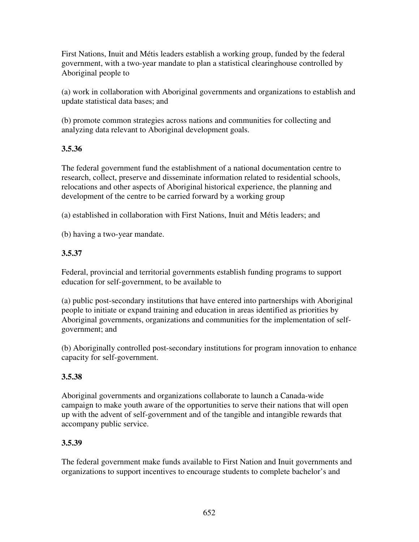First Nations, Inuit and Métis leaders establish a working group, funded by the federal government, with a two-year mandate to plan a statistical clearinghouse controlled by Aboriginal people to

(a) work in collaboration with Aboriginal governments and organizations to establish and update statistical data bases; and

(b) promote common strategies across nations and communities for collecting and analyzing data relevant to Aboriginal development goals.

## **3.5.36**

The federal government fund the establishment of a national documentation centre to research, collect, preserve and disseminate information related to residential schools, relocations and other aspects of Aboriginal historical experience, the planning and development of the centre to be carried forward by a working group

(a) established in collaboration with First Nations, Inuit and Métis leaders; and

(b) having a two-year mandate.

# **3.5.37**

Federal, provincial and territorial governments establish funding programs to support education for self-government, to be available to

(a) public post-secondary institutions that have entered into partnerships with Aboriginal people to initiate or expand training and education in areas identified as priorities by Aboriginal governments, organizations and communities for the implementation of selfgovernment; and

(b) Aboriginally controlled post-secondary institutions for program innovation to enhance capacity for self-government.

# **3.5.38**

Aboriginal governments and organizations collaborate to launch a Canada-wide campaign to make youth aware of the opportunities to serve their nations that will open up with the advent of self-government and of the tangible and intangible rewards that accompany public service.

# **3.5.39**

The federal government make funds available to First Nation and Inuit governments and organizations to support incentives to encourage students to complete bachelor's and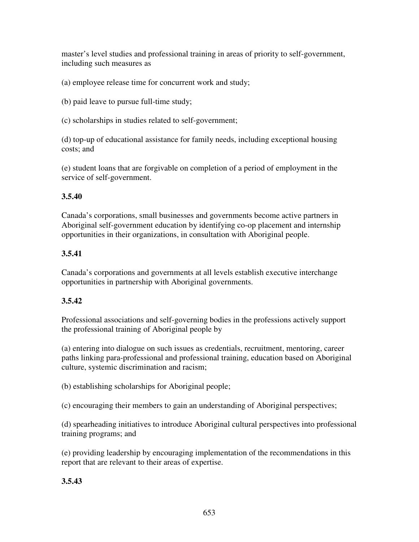master's level studies and professional training in areas of priority to self-government, including such measures as

(a) employee release time for concurrent work and study;

(b) paid leave to pursue full-time study;

(c) scholarships in studies related to self-government;

(d) top-up of educational assistance for family needs, including exceptional housing costs; and

(e) student loans that are forgivable on completion of a period of employment in the service of self-government.

#### **3.5.40**

Canada's corporations, small businesses and governments become active partners in Aboriginal self-government education by identifying co-op placement and internship opportunities in their organizations, in consultation with Aboriginal people.

#### **3.5.41**

Canada's corporations and governments at all levels establish executive interchange opportunities in partnership with Aboriginal governments.

## **3.5.42**

Professional associations and self-governing bodies in the professions actively support the professional training of Aboriginal people by

(a) entering into dialogue on such issues as credentials, recruitment, mentoring, career paths linking para-professional and professional training, education based on Aboriginal culture, systemic discrimination and racism;

(b) establishing scholarships for Aboriginal people;

(c) encouraging their members to gain an understanding of Aboriginal perspectives;

(d) spearheading initiatives to introduce Aboriginal cultural perspectives into professional training programs; and

(e) providing leadership by encouraging implementation of the recommendations in this report that are relevant to their areas of expertise.

## **3.5.43**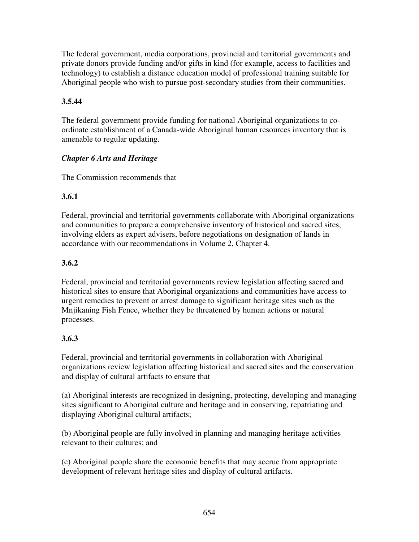The federal government, media corporations, provincial and territorial governments and private donors provide funding and/or gifts in kind (for example, access to facilities and technology) to establish a distance education model of professional training suitable for Aboriginal people who wish to pursue post-secondary studies from their communities.

# **3.5.44**

The federal government provide funding for national Aboriginal organizations to coordinate establishment of a Canada-wide Aboriginal human resources inventory that is amenable to regular updating.

## *Chapter 6 Arts and Heritage*

The Commission recommends that

## **3.6.1**

Federal, provincial and territorial governments collaborate with Aboriginal organizations and communities to prepare a comprehensive inventory of historical and sacred sites, involving elders as expert advisers, before negotiations on designation of lands in accordance with our recommendations in Volume 2, Chapter 4.

## **3.6.2**

Federal, provincial and territorial governments review legislation affecting sacred and historical sites to ensure that Aboriginal organizations and communities have access to urgent remedies to prevent or arrest damage to significant heritage sites such as the Mnjikaning Fish Fence, whether they be threatened by human actions or natural processes.

# **3.6.3**

Federal, provincial and territorial governments in collaboration with Aboriginal organizations review legislation affecting historical and sacred sites and the conservation and display of cultural artifacts to ensure that

(a) Aboriginal interests are recognized in designing, protecting, developing and managing sites significant to Aboriginal culture and heritage and in conserving, repatriating and displaying Aboriginal cultural artifacts;

(b) Aboriginal people are fully involved in planning and managing heritage activities relevant to their cultures; and

(c) Aboriginal people share the economic benefits that may accrue from appropriate development of relevant heritage sites and display of cultural artifacts.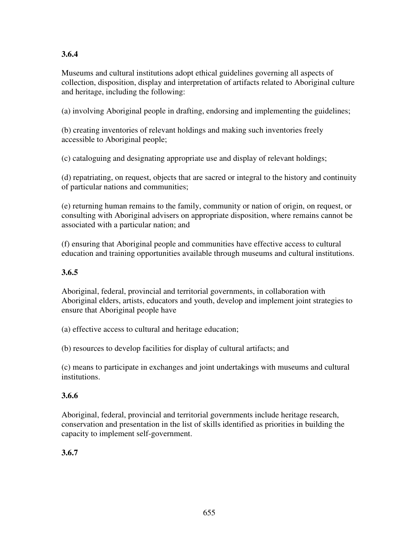# **3.6.4**

Museums and cultural institutions adopt ethical guidelines governing all aspects of collection, disposition, display and interpretation of artifacts related to Aboriginal culture and heritage, including the following:

(a) involving Aboriginal people in drafting, endorsing and implementing the guidelines;

(b) creating inventories of relevant holdings and making such inventories freely accessible to Aboriginal people;

(c) cataloguing and designating appropriate use and display of relevant holdings;

(d) repatriating, on request, objects that are sacred or integral to the history and continuity of particular nations and communities;

(e) returning human remains to the family, community or nation of origin, on request, or consulting with Aboriginal advisers on appropriate disposition, where remains cannot be associated with a particular nation; and

(f) ensuring that Aboriginal people and communities have effective access to cultural education and training opportunities available through museums and cultural institutions.

# **3.6.5**

Aboriginal, federal, provincial and territorial governments, in collaboration with Aboriginal elders, artists, educators and youth, develop and implement joint strategies to ensure that Aboriginal people have

(a) effective access to cultural and heritage education;

(b) resources to develop facilities for display of cultural artifacts; and

(c) means to participate in exchanges and joint undertakings with museums and cultural institutions.

# **3.6.6**

Aboriginal, federal, provincial and territorial governments include heritage research, conservation and presentation in the list of skills identified as priorities in building the capacity to implement self-government.

# **3.6.7**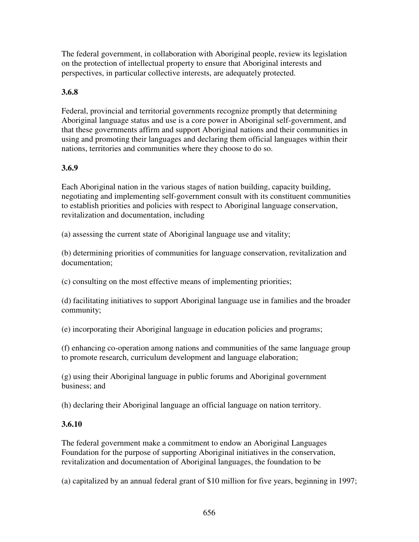The federal government, in collaboration with Aboriginal people, review its legislation on the protection of intellectual property to ensure that Aboriginal interests and perspectives, in particular collective interests, are adequately protected.

## **3.6.8**

Federal, provincial and territorial governments recognize promptly that determining Aboriginal language status and use is a core power in Aboriginal self-government, and that these governments affirm and support Aboriginal nations and their communities in using and promoting their languages and declaring them official languages within their nations, territories and communities where they choose to do so.

#### **3.6.9**

Each Aboriginal nation in the various stages of nation building, capacity building, negotiating and implementing self-government consult with its constituent communities to establish priorities and policies with respect to Aboriginal language conservation, revitalization and documentation, including

(a) assessing the current state of Aboriginal language use and vitality;

(b) determining priorities of communities for language conservation, revitalization and documentation;

(c) consulting on the most effective means of implementing priorities;

(d) facilitating initiatives to support Aboriginal language use in families and the broader community;

(e) incorporating their Aboriginal language in education policies and programs;

(f) enhancing co-operation among nations and communities of the same language group to promote research, curriculum development and language elaboration;

(g) using their Aboriginal language in public forums and Aboriginal government business; and

(h) declaring their Aboriginal language an official language on nation territory.

#### **3.6.10**

The federal government make a commitment to endow an Aboriginal Languages Foundation for the purpose of supporting Aboriginal initiatives in the conservation, revitalization and documentation of Aboriginal languages, the foundation to be

(a) capitalized by an annual federal grant of \$10 million for five years, beginning in 1997;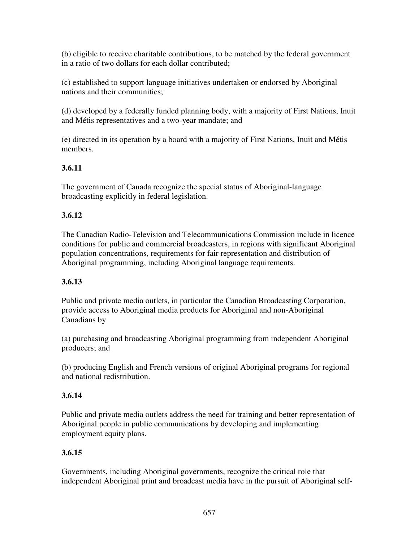(b) eligible to receive charitable contributions, to be matched by the federal government in a ratio of two dollars for each dollar contributed;

(c) established to support language initiatives undertaken or endorsed by Aboriginal nations and their communities;

(d) developed by a federally funded planning body, with a majority of First Nations, Inuit and Métis representatives and a two-year mandate; and

(e) directed in its operation by a board with a majority of First Nations, Inuit and Métis members.

# **3.6.11**

The government of Canada recognize the special status of Aboriginal-language broadcasting explicitly in federal legislation.

# **3.6.12**

The Canadian Radio-Television and Telecommunications Commission include in licence conditions for public and commercial broadcasters, in regions with significant Aboriginal population concentrations, requirements for fair representation and distribution of Aboriginal programming, including Aboriginal language requirements.

## **3.6.13**

Public and private media outlets, in particular the Canadian Broadcasting Corporation, provide access to Aboriginal media products for Aboriginal and non-Aboriginal Canadians by

(a) purchasing and broadcasting Aboriginal programming from independent Aboriginal producers; and

(b) producing English and French versions of original Aboriginal programs for regional and national redistribution.

# **3.6.14**

Public and private media outlets address the need for training and better representation of Aboriginal people in public communications by developing and implementing employment equity plans.

# **3.6.15**

Governments, including Aboriginal governments, recognize the critical role that independent Aboriginal print and broadcast media have in the pursuit of Aboriginal self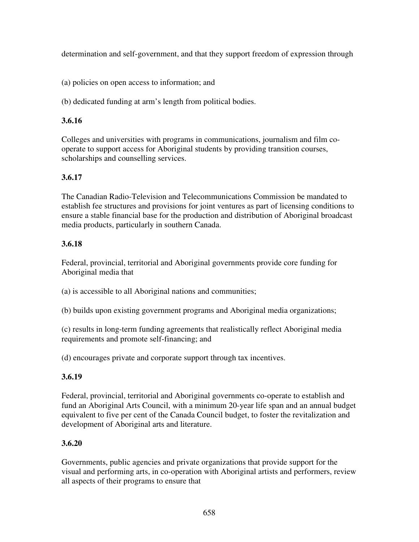determination and self-government, and that they support freedom of expression through

(a) policies on open access to information; and

(b) dedicated funding at arm's length from political bodies.

## **3.6.16**

Colleges and universities with programs in communications, journalism and film cooperate to support access for Aboriginal students by providing transition courses, scholarships and counselling services.

# **3.6.17**

The Canadian Radio-Television and Telecommunications Commission be mandated to establish fee structures and provisions for joint ventures as part of licensing conditions to ensure a stable financial base for the production and distribution of Aboriginal broadcast media products, particularly in southern Canada.

## **3.6.18**

Federal, provincial, territorial and Aboriginal governments provide core funding for Aboriginal media that

(a) is accessible to all Aboriginal nations and communities;

(b) builds upon existing government programs and Aboriginal media organizations;

(c) results in long-term funding agreements that realistically reflect Aboriginal media requirements and promote self-financing; and

(d) encourages private and corporate support through tax incentives.

# **3.6.19**

Federal, provincial, territorial and Aboriginal governments co-operate to establish and fund an Aboriginal Arts Council, with a minimum 20-year life span and an annual budget equivalent to five per cent of the Canada Council budget, to foster the revitalization and development of Aboriginal arts and literature.

## **3.6.20**

Governments, public agencies and private organizations that provide support for the visual and performing arts, in co-operation with Aboriginal artists and performers, review all aspects of their programs to ensure that